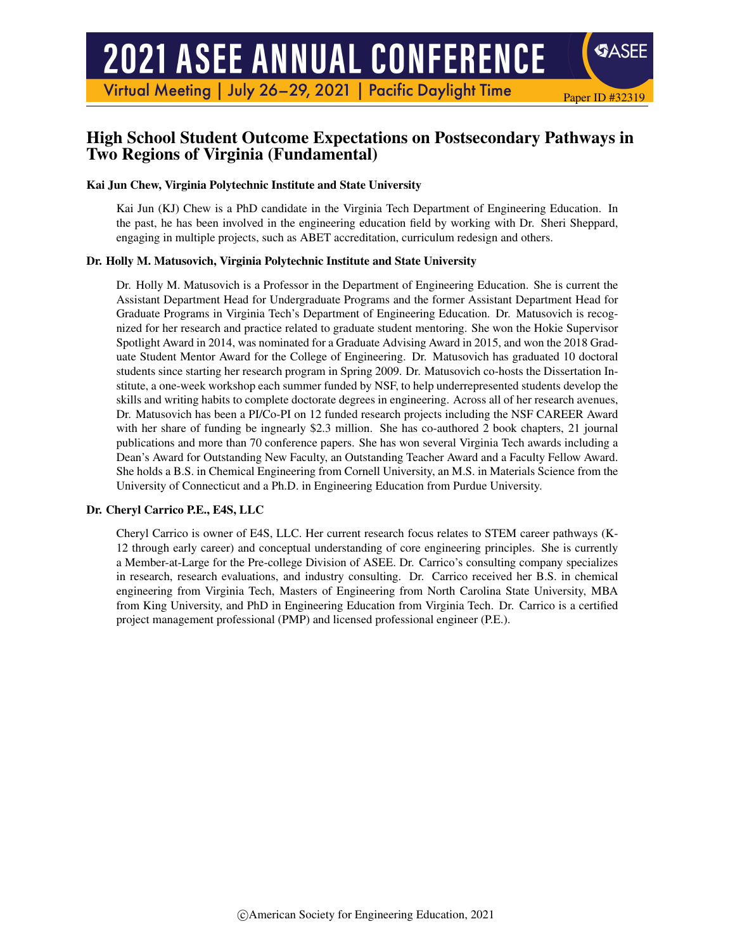Virtual Meeting | July 26-29, 2021 | Pacific Daylight Time

# High School Student Outcome Expectations on Postsecondary Pathways in Two Regions of Virginia (Fundamental)

Paper ID #32319

**SASEE** 

#### Kai Jun Chew, Virginia Polytechnic Institute and State University

Kai Jun (KJ) Chew is a PhD candidate in the Virginia Tech Department of Engineering Education. In the past, he has been involved in the engineering education field by working with Dr. Sheri Sheppard, engaging in multiple projects, such as ABET accreditation, curriculum redesign and others.

#### Dr. Holly M. Matusovich, Virginia Polytechnic Institute and State University

Dr. Holly M. Matusovich is a Professor in the Department of Engineering Education. She is current the Assistant Department Head for Undergraduate Programs and the former Assistant Department Head for Graduate Programs in Virginia Tech's Department of Engineering Education. Dr. Matusovich is recognized for her research and practice related to graduate student mentoring. She won the Hokie Supervisor Spotlight Award in 2014, was nominated for a Graduate Advising Award in 2015, and won the 2018 Graduate Student Mentor Award for the College of Engineering. Dr. Matusovich has graduated 10 doctoral students since starting her research program in Spring 2009. Dr. Matusovich co-hosts the Dissertation Institute, a one-week workshop each summer funded by NSF, to help underrepresented students develop the skills and writing habits to complete doctorate degrees in engineering. Across all of her research avenues, Dr. Matusovich has been a PI/Co-PI on 12 funded research projects including the NSF CAREER Award with her share of funding be ingnearly \$2.3 million. She has co-authored 2 book chapters, 21 journal publications and more than 70 conference papers. She has won several Virginia Tech awards including a Dean's Award for Outstanding New Faculty, an Outstanding Teacher Award and a Faculty Fellow Award. She holds a B.S. in Chemical Engineering from Cornell University, an M.S. in Materials Science from the University of Connecticut and a Ph.D. in Engineering Education from Purdue University.

#### Dr. Cheryl Carrico P.E., E4S, LLC

Cheryl Carrico is owner of E4S, LLC. Her current research focus relates to STEM career pathways (K-12 through early career) and conceptual understanding of core engineering principles. She is currently a Member-at-Large for the Pre-college Division of ASEE. Dr. Carrico's consulting company specializes in research, research evaluations, and industry consulting. Dr. Carrico received her B.S. in chemical engineering from Virginia Tech, Masters of Engineering from North Carolina State University, MBA from King University, and PhD in Engineering Education from Virginia Tech. Dr. Carrico is a certified project management professional (PMP) and licensed professional engineer (P.E.).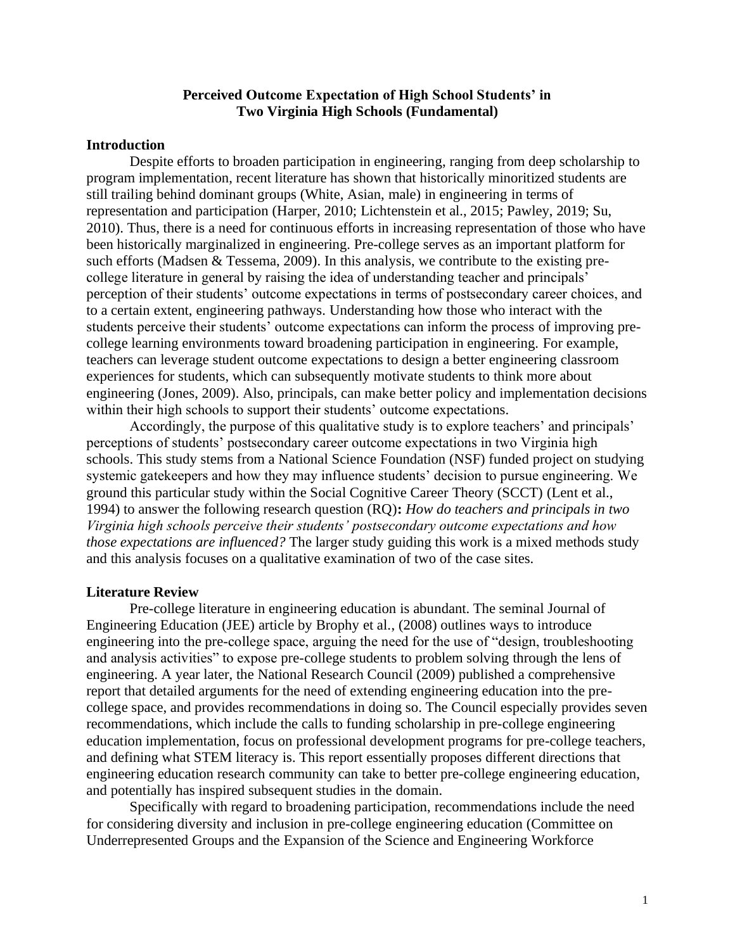#### **Perceived Outcome Expectation of High School Students' in Two Virginia High Schools (Fundamental)**

#### **Introduction**

Despite efforts to broaden participation in engineering, ranging from deep scholarship to program implementation, recent literature has shown that historically minoritized students are still trailing behind dominant groups (White, Asian, male) in engineering in terms of representation and participation (Harper, 2010; Lichtenstein et al., 2015; Pawley, 2019; Su, 2010). Thus, there is a need for continuous efforts in increasing representation of those who have been historically marginalized in engineering. Pre-college serves as an important platform for such efforts (Madsen & Tessema, 2009). In this analysis, we contribute to the existing precollege literature in general by raising the idea of understanding teacher and principals' perception of their students' outcome expectations in terms of postsecondary career choices, and to a certain extent, engineering pathways. Understanding how those who interact with the students perceive their students' outcome expectations can inform the process of improving precollege learning environments toward broadening participation in engineering. For example, teachers can leverage student outcome expectations to design a better engineering classroom experiences for students, which can subsequently motivate students to think more about engineering (Jones, 2009). Also, principals, can make better policy and implementation decisions within their high schools to support their students' outcome expectations.

Accordingly, the purpose of this qualitative study is to explore teachers' and principals' perceptions of students' postsecondary career outcome expectations in two Virginia high schools. This study stems from a National Science Foundation (NSF) funded project on studying systemic gatekeepers and how they may influence students' decision to pursue engineering. We ground this particular study within the Social Cognitive Career Theory (SCCT) (Lent et al., 1994) to answer the following research question (RQ)**:** *How do teachers and principals in two Virginia high schools perceive their students' postsecondary outcome expectations and how those expectations are influenced?* The larger study guiding this work is a mixed methods study and this analysis focuses on a qualitative examination of two of the case sites.

#### **Literature Review**

Pre-college literature in engineering education is abundant. The seminal Journal of Engineering Education (JEE) article by Brophy et al., (2008) outlines ways to introduce engineering into the pre-college space, arguing the need for the use of "design, troubleshooting and analysis activities" to expose pre-college students to problem solving through the lens of engineering. A year later, the National Research Council (2009) published a comprehensive report that detailed arguments for the need of extending engineering education into the precollege space, and provides recommendations in doing so. The Council especially provides seven recommendations, which include the calls to funding scholarship in pre-college engineering education implementation, focus on professional development programs for pre-college teachers, and defining what STEM literacy is. This report essentially proposes different directions that engineering education research community can take to better pre-college engineering education, and potentially has inspired subsequent studies in the domain.

Specifically with regard to broadening participation, recommendations include the need for considering diversity and inclusion in pre-college engineering education (Committee on Underrepresented Groups and the Expansion of the Science and Engineering Workforce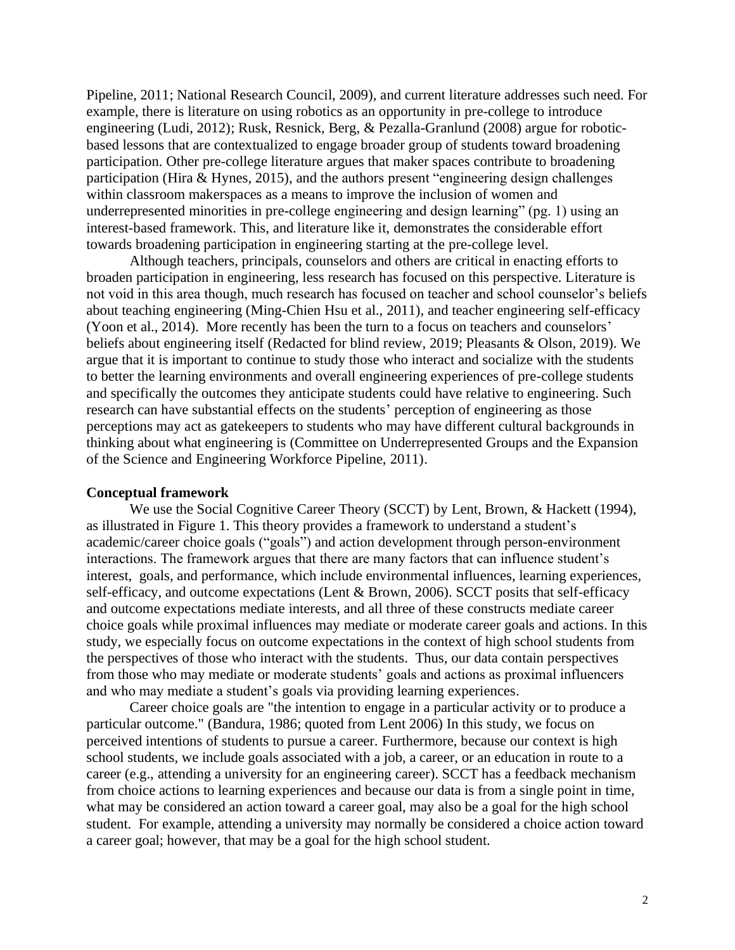Pipeline, 2011; National Research Council, 2009), and current literature addresses such need. For example, there is literature on using robotics as an opportunity in pre-college to introduce engineering (Ludi, 2012); Rusk, Resnick, Berg, & Pezalla-Granlund (2008) argue for roboticbased lessons that are contextualized to engage broader group of students toward broadening participation. Other pre-college literature argues that maker spaces contribute to broadening participation (Hira & Hynes, 2015), and the authors present "engineering design challenges within classroom makerspaces as a means to improve the inclusion of women and underrepresented minorities in pre-college engineering and design learning" (pg. 1) using an interest-based framework. This, and literature like it, demonstrates the considerable effort towards broadening participation in engineering starting at the pre-college level.

Although teachers, principals, counselors and others are critical in enacting efforts to broaden participation in engineering, less research has focused on this perspective. Literature is not void in this area though, much research has focused on teacher and school counselor's beliefs about teaching engineering (Ming-Chien Hsu et al., 2011), and teacher engineering self-efficacy (Yoon et al., 2014). More recently has been the turn to a focus on teachers and counselors' beliefs about engineering itself (Redacted for blind review, 2019; Pleasants & Olson, 2019). We argue that it is important to continue to study those who interact and socialize with the students to better the learning environments and overall engineering experiences of pre-college students and specifically the outcomes they anticipate students could have relative to engineering. Such research can have substantial effects on the students' perception of engineering as those perceptions may act as gatekeepers to students who may have different cultural backgrounds in thinking about what engineering is (Committee on Underrepresented Groups and the Expansion of the Science and Engineering Workforce Pipeline, 2011).

#### **Conceptual framework**

We use the Social Cognitive Career Theory (SCCT) by Lent, Brown, & Hackett (1994), as illustrated in Figure 1. This theory provides a framework to understand a student's academic/career choice goals ("goals") and action development through person-environment interactions. The framework argues that there are many factors that can influence student's interest, goals, and performance, which include environmental influences, learning experiences, self-efficacy, and outcome expectations (Lent & Brown, 2006). SCCT posits that self-efficacy and outcome expectations mediate interests, and all three of these constructs mediate career choice goals while proximal influences may mediate or moderate career goals and actions. In this study, we especially focus on outcome expectations in the context of high school students from the perspectives of those who interact with the students. Thus, our data contain perspectives from those who may mediate or moderate students' goals and actions as proximal influencers and who may mediate a student's goals via providing learning experiences.

Career choice goals are "the intention to engage in a particular activity or to produce a particular outcome." (Bandura, 1986; quoted from Lent 2006) In this study, we focus on perceived intentions of students to pursue a career. Furthermore, because our context is high school students, we include goals associated with a job, a career, or an education in route to a career (e.g., attending a university for an engineering career). SCCT has a feedback mechanism from choice actions to learning experiences and because our data is from a single point in time, what may be considered an action toward a career goal, may also be a goal for the high school student. For example, attending a university may normally be considered a choice action toward a career goal; however, that may be a goal for the high school student.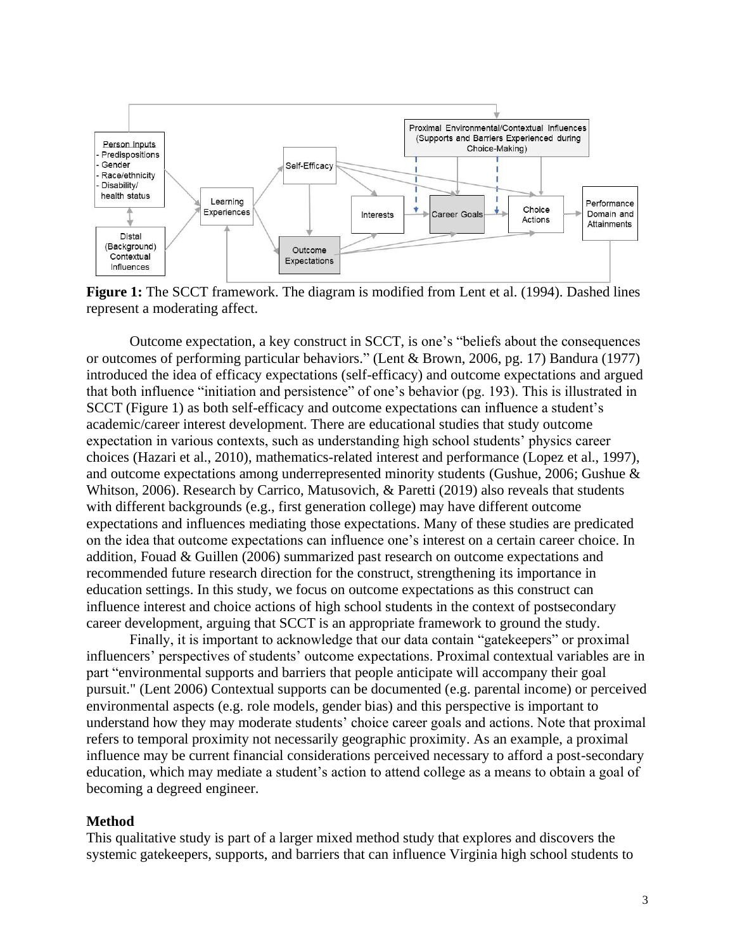

**Figure 1:** The SCCT framework. The diagram is modified from Lent et al. (1994). Dashed lines represent a moderating affect.

Outcome expectation, a key construct in SCCT, is one's "beliefs about the consequences or outcomes of performing particular behaviors." (Lent & Brown, 2006, pg. 17) Bandura (1977) introduced the idea of efficacy expectations (self-efficacy) and outcome expectations and argued that both influence "initiation and persistence" of one's behavior (pg. 193). This is illustrated in SCCT (Figure 1) as both self-efficacy and outcome expectations can influence a student's academic/career interest development. There are educational studies that study outcome expectation in various contexts, such as understanding high school students' physics career choices (Hazari et al., 2010), mathematics-related interest and performance (Lopez et al., 1997), and outcome expectations among underrepresented minority students (Gushue, 2006; Gushue & Whitson, 2006). Research by Carrico, Matusovich, & Paretti (2019) also reveals that students with different backgrounds (e.g., first generation college) may have different outcome expectations and influences mediating those expectations. Many of these studies are predicated on the idea that outcome expectations can influence one's interest on a certain career choice. In addition, Fouad & Guillen (2006) summarized past research on outcome expectations and recommended future research direction for the construct, strengthening its importance in education settings. In this study, we focus on outcome expectations as this construct can influence interest and choice actions of high school students in the context of postsecondary career development, arguing that SCCT is an appropriate framework to ground the study.

Finally, it is important to acknowledge that our data contain "gatekeepers" or proximal influencers' perspectives of students' outcome expectations. Proximal contextual variables are in part "environmental supports and barriers that people anticipate will accompany their goal pursuit." (Lent 2006) Contextual supports can be documented (e.g. parental income) or perceived environmental aspects (e.g. role models, gender bias) and this perspective is important to understand how they may moderate students' choice career goals and actions. Note that proximal refers to temporal proximity not necessarily geographic proximity. As an example, a proximal influence may be current financial considerations perceived necessary to afford a post-secondary education, which may mediate a student's action to attend college as a means to obtain a goal of becoming a degreed engineer.

#### **Method**

This qualitative study is part of a larger mixed method study that explores and discovers the systemic gatekeepers, supports, and barriers that can influence Virginia high school students to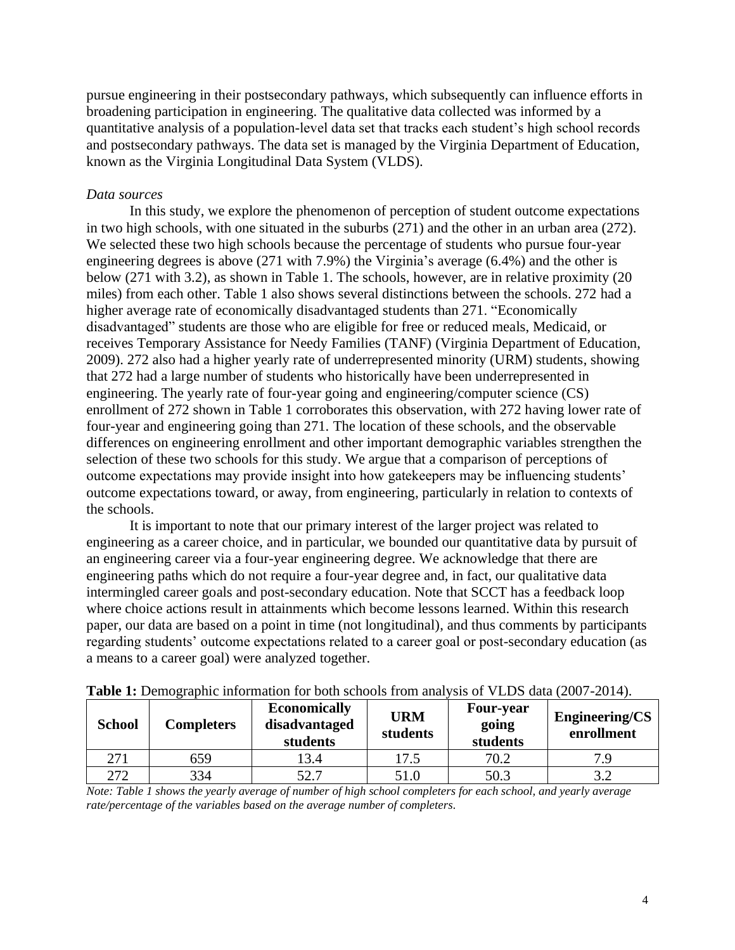pursue engineering in their postsecondary pathways, which subsequently can influence efforts in broadening participation in engineering. The qualitative data collected was informed by a quantitative analysis of a population-level data set that tracks each student's high school records and postsecondary pathways. The data set is managed by the Virginia Department of Education, known as the Virginia Longitudinal Data System (VLDS).

### *Data sources*

In this study, we explore the phenomenon of perception of student outcome expectations in two high schools, with one situated in the suburbs (271) and the other in an urban area (272). We selected these two high schools because the percentage of students who pursue four-year engineering degrees is above (271 with 7.9%) the Virginia's average (6.4%) and the other is below (271 with 3.2), as shown in Table 1. The schools, however, are in relative proximity (20 miles) from each other. Table 1 also shows several distinctions between the schools. 272 had a higher average rate of economically disadvantaged students than 271. "Economically disadvantaged" students are those who are eligible for free or reduced meals, Medicaid, or receives Temporary Assistance for Needy Families (TANF) (Virginia Department of Education, 2009). 272 also had a higher yearly rate of underrepresented minority (URM) students, showing that 272 had a large number of students who historically have been underrepresented in engineering. The yearly rate of four-year going and engineering/computer science (CS) enrollment of 272 shown in Table 1 corroborates this observation, with 272 having lower rate of four-year and engineering going than 271. The location of these schools, and the observable differences on engineering enrollment and other important demographic variables strengthen the selection of these two schools for this study. We argue that a comparison of perceptions of outcome expectations may provide insight into how gatekeepers may be influencing students' outcome expectations toward, or away, from engineering, particularly in relation to contexts of the schools.

It is important to note that our primary interest of the larger project was related to engineering as a career choice, and in particular, we bounded our quantitative data by pursuit of an engineering career via a four-year engineering degree. We acknowledge that there are engineering paths which do not require a four-year degree and, in fact, our qualitative data intermingled career goals and post-secondary education. Note that SCCT has a feedback loop where choice actions result in attainments which become lessons learned. Within this research paper, our data are based on a point in time (not longitudinal), and thus comments by participants regarding students' outcome expectations related to a career goal or post-secondary education (as a means to a career goal) were analyzed together.

| <b>School</b> | <b>Completers</b> | <b>Economically</b><br>disadvantaged<br>students | <b>URM</b><br>students | <b>Four-year</b><br>going<br>students | <b>Engineering/CS</b><br>enrollment |
|---------------|-------------------|--------------------------------------------------|------------------------|---------------------------------------|-------------------------------------|
| 271           | 659               | 3.4                                              | 17.5                   | 70.2                                  | 7 Q                                 |
| 272           | 334               | 52.7                                             | 51.0                   | 50.3                                  |                                     |

**Table 1:** Demographic information for both schools from analysis of VLDS data (2007-2014).

*Note: Table 1 shows the yearly average of number of high school completers for each school, and yearly average rate/percentage of the variables based on the average number of completers.*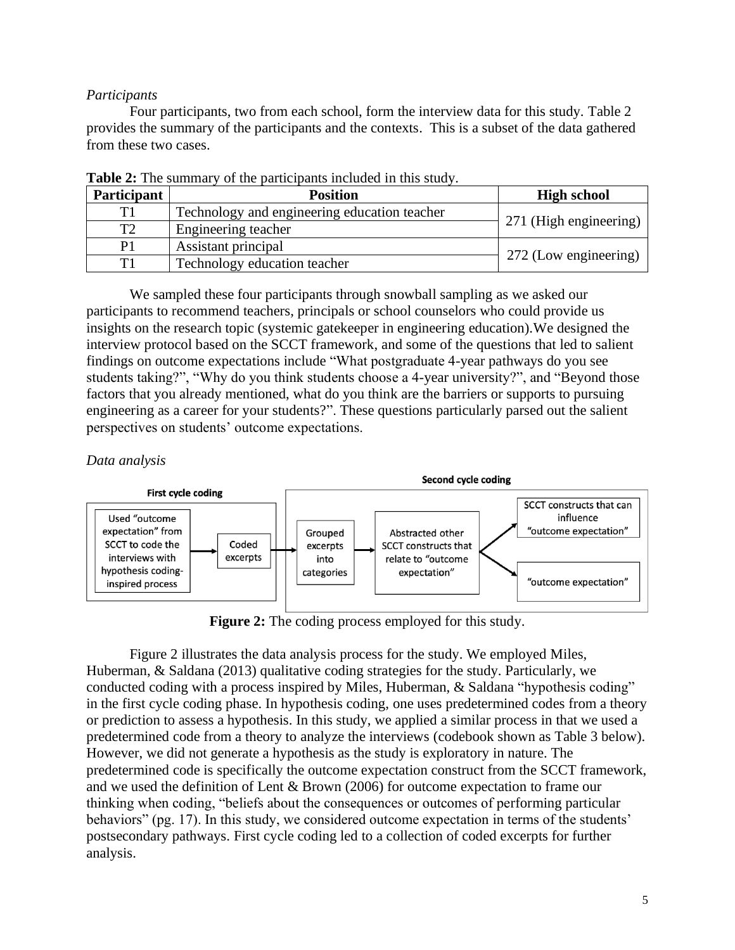## *Participants*

Four participants, two from each school, form the interview data for this study. Table 2 provides the summary of the participants and the contexts. This is a subset of the data gathered from these two cases.

| <b>Participant</b> | <b>Position</b>                                       | <b>High school</b>     |  |
|--------------------|-------------------------------------------------------|------------------------|--|
| T1                 | Technology and engineering education teacher          | 271 (High engineering) |  |
| T <sub>2</sub>     | Engineering teacher                                   |                        |  |
| P1                 | Assistant principal                                   |                        |  |
| T1                 | 272 (Low engineering)<br>Technology education teacher |                        |  |

**Table 2:** The summary of the participants included in this study.

We sampled these four participants through snowball sampling as we asked our participants to recommend teachers, principals or school counselors who could provide us insights on the research topic (systemic gatekeeper in engineering education).We designed the interview protocol based on the SCCT framework, and some of the questions that led to salient findings on outcome expectations include "What postgraduate 4-year pathways do you see students taking?", "Why do you think students choose a 4-year university?", and "Beyond those factors that you already mentioned, what do you think are the barriers or supports to pursuing engineering as a career for your students?". These questions particularly parsed out the salient perspectives on students' outcome expectations.

## *Data analysis*



**Figure 2:** The coding process employed for this study.

Figure 2 illustrates the data analysis process for the study. We employed Miles, Huberman, & Saldana (2013) qualitative coding strategies for the study. Particularly, we conducted coding with a process inspired by Miles, Huberman, & Saldana "hypothesis coding" in the first cycle coding phase. In hypothesis coding, one uses predetermined codes from a theory or prediction to assess a hypothesis. In this study, we applied a similar process in that we used a predetermined code from a theory to analyze the interviews (codebook shown as Table 3 below). However, we did not generate a hypothesis as the study is exploratory in nature. The predetermined code is specifically the outcome expectation construct from the SCCT framework, and we used the definition of Lent & Brown (2006) for outcome expectation to frame our thinking when coding, "beliefs about the consequences or outcomes of performing particular behaviors" (pg. 17). In this study, we considered outcome expectation in terms of the students' postsecondary pathways. First cycle coding led to a collection of coded excerpts for further analysis.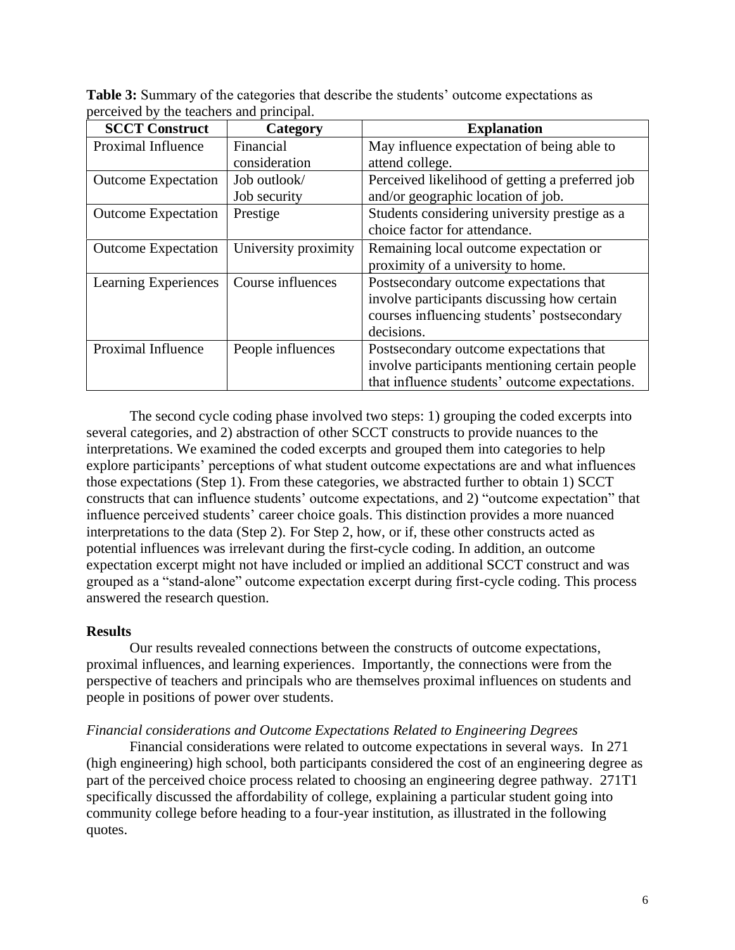**Table 3:** Summary of the categories that describe the students' outcome expectations as perceived by the teachers and principal.

| <b>SCCT Construct</b>      | Category             | <b>Explanation</b>                              |
|----------------------------|----------------------|-------------------------------------------------|
| Proximal Influence         | Financial            | May influence expectation of being able to      |
|                            | consideration        | attend college.                                 |
| <b>Outcome Expectation</b> | Job outlook/         | Perceived likelihood of getting a preferred job |
|                            | Job security         | and/or geographic location of job.              |
| <b>Outcome Expectation</b> | Prestige             | Students considering university prestige as a   |
|                            |                      | choice factor for attendance.                   |
| <b>Outcome Expectation</b> | University proximity | Remaining local outcome expectation or          |
|                            |                      | proximity of a university to home.              |
| Learning Experiences       | Course influences    | Postsecondary outcome expectations that         |
|                            |                      | involve participants discussing how certain     |
|                            |                      | courses influencing students' postsecondary     |
|                            |                      | decisions.                                      |
| Proximal Influence         | People influences    | Postsecondary outcome expectations that         |
|                            |                      | involve participants mentioning certain people  |
|                            |                      | that influence students' outcome expectations.  |

The second cycle coding phase involved two steps: 1) grouping the coded excerpts into several categories, and 2) abstraction of other SCCT constructs to provide nuances to the interpretations. We examined the coded excerpts and grouped them into categories to help explore participants' perceptions of what student outcome expectations are and what influences those expectations (Step 1). From these categories, we abstracted further to obtain 1) SCCT constructs that can influence students' outcome expectations, and 2) "outcome expectation" that influence perceived students' career choice goals. This distinction provides a more nuanced interpretations to the data (Step 2). For Step 2, how, or if, these other constructs acted as potential influences was irrelevant during the first-cycle coding. In addition, an outcome expectation excerpt might not have included or implied an additional SCCT construct and was grouped as a "stand-alone" outcome expectation excerpt during first-cycle coding. This process answered the research question.

## **Results**

Our results revealed connections between the constructs of outcome expectations, proximal influences, and learning experiences. Importantly, the connections were from the perspective of teachers and principals who are themselves proximal influences on students and people in positions of power over students.

## *Financial considerations and Outcome Expectations Related to Engineering Degrees*

Financial considerations were related to outcome expectations in several ways. In 271 (high engineering) high school, both participants considered the cost of an engineering degree as part of the perceived choice process related to choosing an engineering degree pathway. 271T1 specifically discussed the affordability of college, explaining a particular student going into community college before heading to a four-year institution, as illustrated in the following quotes.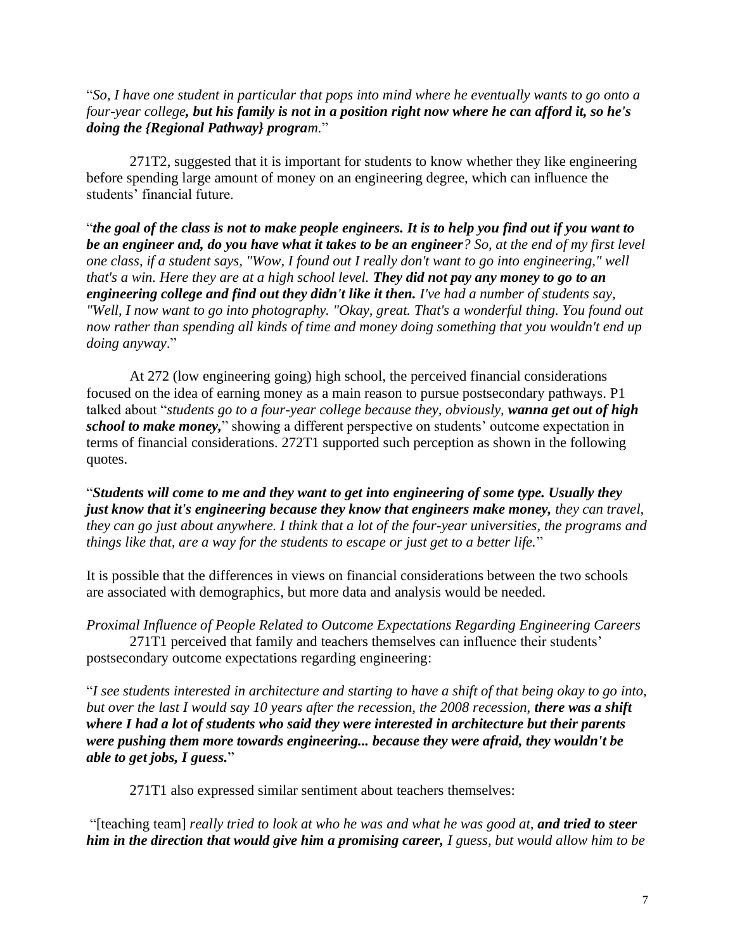"*So, I have one student in particular that pops into mind where he eventually wants to go onto a four-year college, but his family is not in a position right now where he can afford it, so he's doing the {Regional Pathway} program.*"

271T2, suggested that it is important for students to know whether they like engineering before spending large amount of money on an engineering degree, which can influence the students' financial future.

"*the goal of the class is not to make people engineers. It is to help you find out if you want to be an engineer and, do you have what it takes to be an engineer? So, at the end of my first level one class, if a student says, "Wow, I found out I really don't want to go into engineering," well that's a win. Here they are at a high school level. They did not pay any money to go to an engineering college and find out they didn't like it then. I've had a number of students say, "Well, I now want to go into photography. "Okay, great. That's a wonderful thing. You found out now rather than spending all kinds of time and money doing something that you wouldn't end up doing anyway*."

At 272 (low engineering going) high school, the perceived financial considerations focused on the idea of earning money as a main reason to pursue postsecondary pathways. P1 talked about "*students go to a four-year college because they, obviously, wanna get out of high school to make money,*" showing a different perspective on students' outcome expectation in terms of financial considerations. 272T1 supported such perception as shown in the following quotes.

"*Students will come to me and they want to get into engineering of some type. Usually they just know that it's engineering because they know that engineers make money, they can travel, they can go just about anywhere. I think that a lot of the four-year universities, the programs and things like that, are a way for the students to escape or just get to a better life.*"

It is possible that the differences in views on financial considerations between the two schools are associated with demographics, but more data and analysis would be needed.

*Proximal Influence of People Related to Outcome Expectations Regarding Engineering Careers*

271T1 perceived that family and teachers themselves can influence their students' postsecondary outcome expectations regarding engineering:

"*I see students interested in architecture and starting to have a shift of that being okay to go into, but over the last I would say 10 years after the recession, the 2008 recession, there was a shift where I had a lot of students who said they were interested in architecture but their parents were pushing them more towards engineering... because they were afraid, they wouldn't be able to get jobs, I guess.*"

271T1 also expressed similar sentiment about teachers themselves:

"[teaching team] *really tried to look at who he was and what he was good at, and tried to steer him in the direction that would give him a promising career, I guess, but would allow him to be*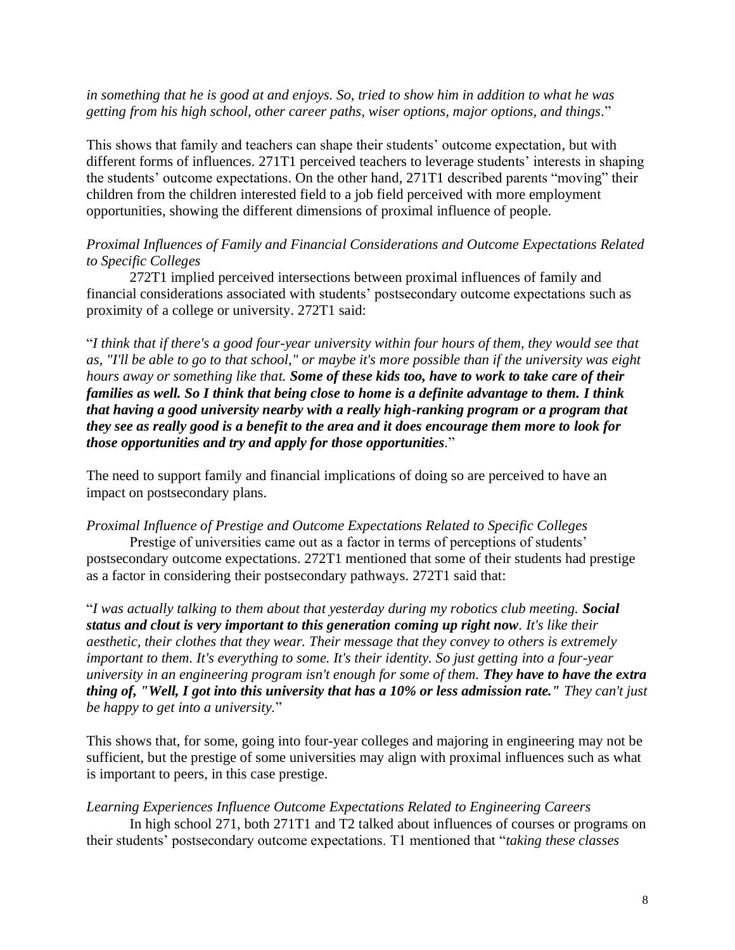## *in something that he is good at and enjoys. So, tried to show him in addition to what he was getting from his high school, other career paths, wiser options, major options, and things.*"

This shows that family and teachers can shape their students' outcome expectation, but with different forms of influences. 271T1 perceived teachers to leverage students' interests in shaping the students' outcome expectations. On the other hand, 271T1 described parents "moving" their children from the children interested field to a job field perceived with more employment opportunities, showing the different dimensions of proximal influence of people.

## *Proximal Influences of Family and Financial Considerations and Outcome Expectations Related to Specific Colleges*

272T1 implied perceived intersections between proximal influences of family and financial considerations associated with students' postsecondary outcome expectations such as proximity of a college or university. 272T1 said:

"*I think that if there's a good four-year university within four hours of them, they would see that as, "I'll be able to go to that school," or maybe it's more possible than if the university was eight hours away or something like that. Some of these kids too, have to work to take care of their families as well. So I think that being close to home is a definite advantage to them. I think that having a good university nearby with a really high-ranking program or a program that they see as really good is a benefit to the area and it does encourage them more to look for those opportunities and try and apply for those opportunities.*"

The need to support family and financial implications of doing so are perceived to have an impact on postsecondary plans.

#### *Proximal Influence of Prestige and Outcome Expectations Related to Specific Colleges*

Prestige of universities came out as a factor in terms of perceptions of students' postsecondary outcome expectations. 272T1 mentioned that some of their students had prestige as a factor in considering their postsecondary pathways. 272T1 said that:

"*I was actually talking to them about that yesterday during my robotics club meeting. Social status and clout is very important to this generation coming up right now. It's like their aesthetic, their clothes that they wear. Their message that they convey to others is extremely important to them. It's everything to some. It's their identity. So just getting into a four-year university in an engineering program isn't enough for some of them. They have to have the extra thing of, "Well, I got into this university that has a 10% or less admission rate." They can't just be happy to get into a university.*"

This shows that, for some, going into four-year colleges and majoring in engineering may not be sufficient, but the prestige of some universities may align with proximal influences such as what is important to peers, in this case prestige.

## *Learning Experiences Influence Outcome Expectations Related to Engineering Careers*

In high school 271, both 271T1 and T2 talked about influences of courses or programs on their students' postsecondary outcome expectations. T1 mentioned that "*taking these classes*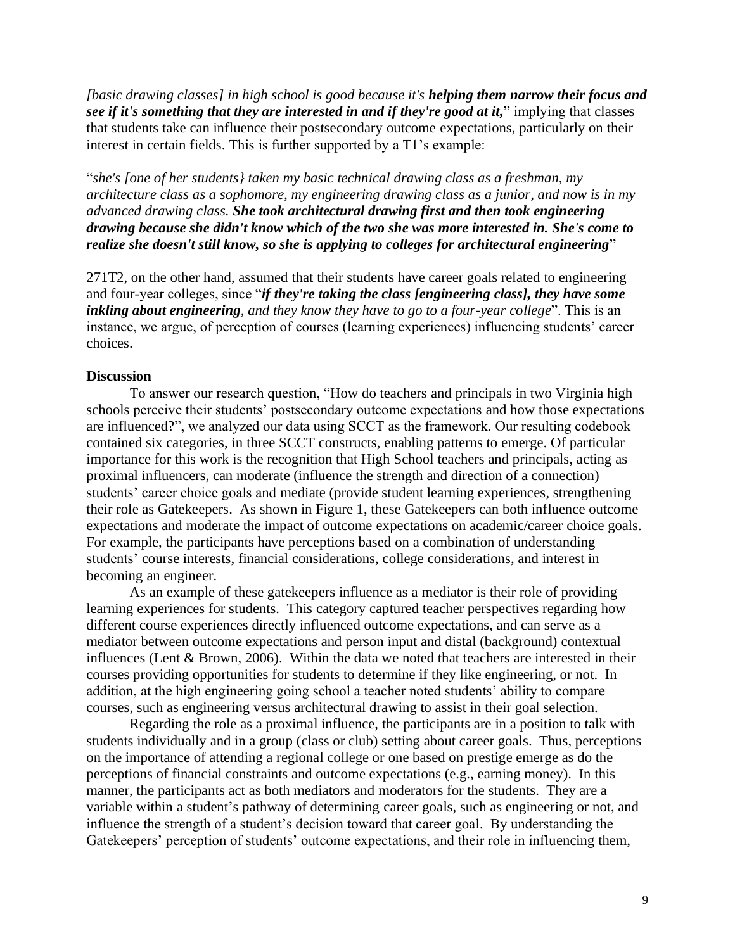*[basic drawing classes] in high school is good because it's helping them narrow their focus and see if it's something that they are interested in and if they're good at it,*" implying that classes that students take can influence their postsecondary outcome expectations, particularly on their interest in certain fields. This is further supported by a T1's example:

"*she's [one of her students} taken my basic technical drawing class as a freshman, my architecture class as a sophomore, my engineering drawing class as a junior, and now is in my advanced drawing class. She took architectural drawing first and then took engineering drawing because she didn't know which of the two she was more interested in. She's come to realize she doesn't still know, so she is applying to colleges for architectural engineering*"

271T2, on the other hand, assumed that their students have career goals related to engineering and four-year colleges, since "*if they're taking the class [engineering class], they have some inkling about engineering, and they know they have to go to a four-year college*". This is an instance, we argue, of perception of courses (learning experiences) influencing students' career choices.

## **Discussion**

To answer our research question, "How do teachers and principals in two Virginia high schools perceive their students' postsecondary outcome expectations and how those expectations are influenced?", we analyzed our data using SCCT as the framework. Our resulting codebook contained six categories, in three SCCT constructs, enabling patterns to emerge. Of particular importance for this work is the recognition that High School teachers and principals, acting as proximal influencers, can moderate (influence the strength and direction of a connection) students' career choice goals and mediate (provide student learning experiences, strengthening their role as Gatekeepers. As shown in Figure 1, these Gatekeepers can both influence outcome expectations and moderate the impact of outcome expectations on academic/career choice goals. For example, the participants have perceptions based on a combination of understanding students' course interests, financial considerations, college considerations, and interest in becoming an engineer.

As an example of these gatekeepers influence as a mediator is their role of providing learning experiences for students. This category captured teacher perspectives regarding how different course experiences directly influenced outcome expectations, and can serve as a mediator between outcome expectations and person input and distal (background) contextual influences (Lent & Brown, 2006). Within the data we noted that teachers are interested in their courses providing opportunities for students to determine if they like engineering, or not. In addition, at the high engineering going school a teacher noted students' ability to compare courses, such as engineering versus architectural drawing to assist in their goal selection.

Regarding the role as a proximal influence, the participants are in a position to talk with students individually and in a group (class or club) setting about career goals. Thus, perceptions on the importance of attending a regional college or one based on prestige emerge as do the perceptions of financial constraints and outcome expectations (e.g., earning money). In this manner, the participants act as both mediators and moderators for the students. They are a variable within a student's pathway of determining career goals, such as engineering or not, and influence the strength of a student's decision toward that career goal. By understanding the Gatekeepers' perception of students' outcome expectations, and their role in influencing them,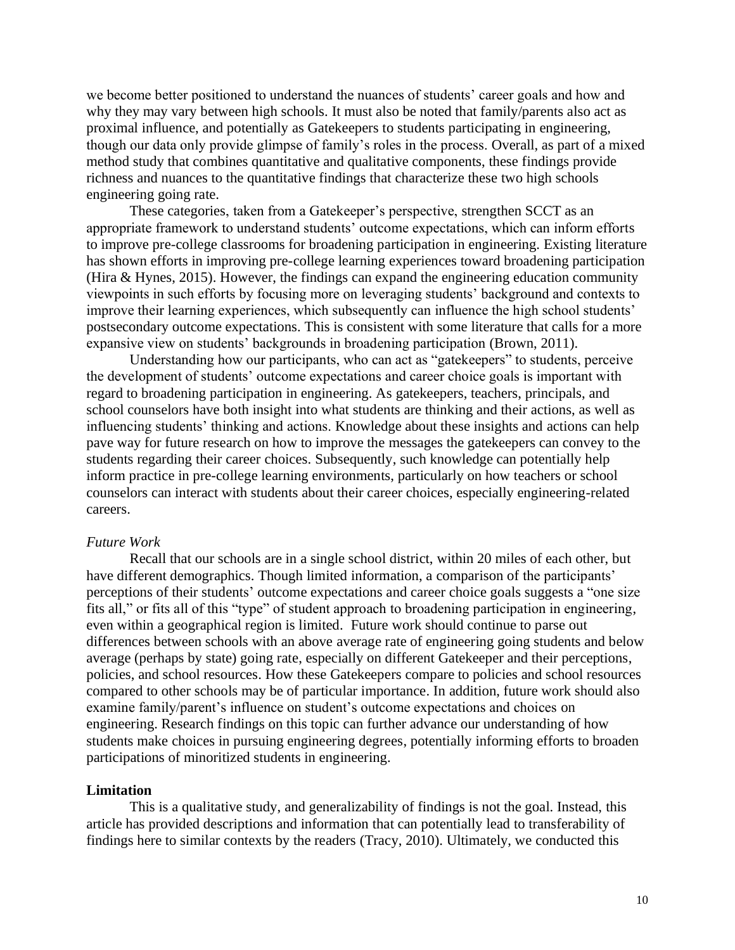we become better positioned to understand the nuances of students' career goals and how and why they may vary between high schools. It must also be noted that family/parents also act as proximal influence, and potentially as Gatekeepers to students participating in engineering, though our data only provide glimpse of family's roles in the process. Overall, as part of a mixed method study that combines quantitative and qualitative components, these findings provide richness and nuances to the quantitative findings that characterize these two high schools engineering going rate.

These categories, taken from a Gatekeeper's perspective, strengthen SCCT as an appropriate framework to understand students' outcome expectations, which can inform efforts to improve pre-college classrooms for broadening participation in engineering. Existing literature has shown efforts in improving pre-college learning experiences toward broadening participation (Hira & Hynes, 2015). However, the findings can expand the engineering education community viewpoints in such efforts by focusing more on leveraging students' background and contexts to improve their learning experiences, which subsequently can influence the high school students' postsecondary outcome expectations. This is consistent with some literature that calls for a more expansive view on students' backgrounds in broadening participation (Brown, 2011).

Understanding how our participants, who can act as "gatekeepers" to students, perceive the development of students' outcome expectations and career choice goals is important with regard to broadening participation in engineering. As gatekeepers, teachers, principals, and school counselors have both insight into what students are thinking and their actions, as well as influencing students' thinking and actions. Knowledge about these insights and actions can help pave way for future research on how to improve the messages the gatekeepers can convey to the students regarding their career choices. Subsequently, such knowledge can potentially help inform practice in pre-college learning environments, particularly on how teachers or school counselors can interact with students about their career choices, especially engineering-related careers.

#### *Future Work*

Recall that our schools are in a single school district, within 20 miles of each other, but have different demographics. Though limited information, a comparison of the participants' perceptions of their students' outcome expectations and career choice goals suggests a "one size fits all," or fits all of this "type" of student approach to broadening participation in engineering, even within a geographical region is limited. Future work should continue to parse out differences between schools with an above average rate of engineering going students and below average (perhaps by state) going rate, especially on different Gatekeeper and their perceptions, policies, and school resources. How these Gatekeepers compare to policies and school resources compared to other schools may be of particular importance. In addition, future work should also examine family/parent's influence on student's outcome expectations and choices on engineering. Research findings on this topic can further advance our understanding of how students make choices in pursuing engineering degrees, potentially informing efforts to broaden participations of minoritized students in engineering.

#### **Limitation**

This is a qualitative study, and generalizability of findings is not the goal. Instead, this article has provided descriptions and information that can potentially lead to transferability of findings here to similar contexts by the readers (Tracy, 2010). Ultimately, we conducted this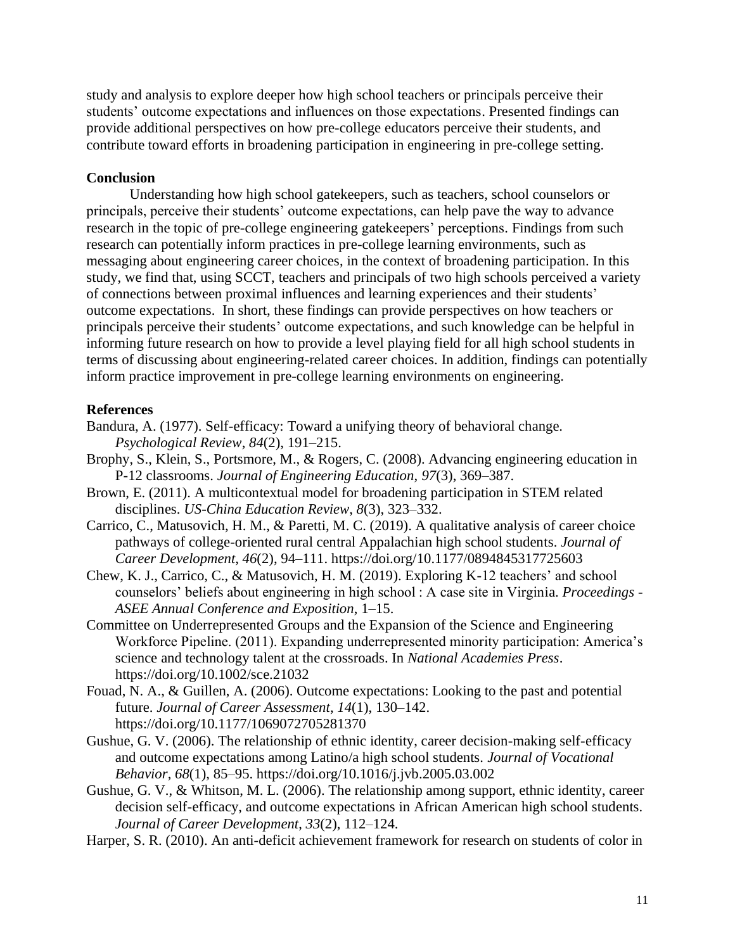study and analysis to explore deeper how high school teachers or principals perceive their students' outcome expectations and influences on those expectations. Presented findings can provide additional perspectives on how pre-college educators perceive their students, and contribute toward efforts in broadening participation in engineering in pre-college setting.

## **Conclusion**

Understanding how high school gatekeepers, such as teachers, school counselors or principals, perceive their students' outcome expectations, can help pave the way to advance research in the topic of pre-college engineering gatekeepers' perceptions. Findings from such research can potentially inform practices in pre-college learning environments, such as messaging about engineering career choices, in the context of broadening participation. In this study, we find that, using SCCT, teachers and principals of two high schools perceived a variety of connections between proximal influences and learning experiences and their students' outcome expectations. In short, these findings can provide perspectives on how teachers or principals perceive their students' outcome expectations, and such knowledge can be helpful in informing future research on how to provide a level playing field for all high school students in terms of discussing about engineering-related career choices. In addition, findings can potentially inform practice improvement in pre-college learning environments on engineering.

## **References**

- Bandura, A. (1977). Self-efficacy: Toward a unifying theory of behavioral change. *Psychological Review*, *84*(2), 191–215.
- Brophy, S., Klein, S., Portsmore, M., & Rogers, C. (2008). Advancing engineering education in P-12 classrooms. *Journal of Engineering Education*, *97*(3), 369–387.
- Brown, E. (2011). A multicontextual model for broadening participation in STEM related disciplines. *US-China Education Review*, *8*(3), 323–332.
- Carrico, C., Matusovich, H. M., & Paretti, M. C. (2019). A qualitative analysis of career choice pathways of college-oriented rural central Appalachian high school students. *Journal of Career Development*, *46*(2), 94–111. https://doi.org/10.1177/0894845317725603
- Chew, K. J., Carrico, C., & Matusovich, H. M. (2019). Exploring K-12 teachers' and school counselors' beliefs about engineering in high school : A case site in Virginia. *Proceedings - ASEE Annual Conference and Exposition*, 1–15.
- Committee on Underrepresented Groups and the Expansion of the Science and Engineering Workforce Pipeline. (2011). Expanding underrepresented minority participation: America's science and technology talent at the crossroads. In *National Academies Press*. https://doi.org/10.1002/sce.21032
- Fouad, N. A., & Guillen, A. (2006). Outcome expectations: Looking to the past and potential future. *Journal of Career Assessment*, *14*(1), 130–142. https://doi.org/10.1177/1069072705281370
- Gushue, G. V. (2006). The relationship of ethnic identity, career decision-making self-efficacy and outcome expectations among Latino/a high school students. *Journal of Vocational Behavior*, *68*(1), 85–95. https://doi.org/10.1016/j.jvb.2005.03.002
- Gushue, G. V., & Whitson, M. L. (2006). The relationship among support, ethnic identity, career decision self-efficacy, and outcome expectations in African American high school students. *Journal of Career Development*, *33*(2), 112–124.
- Harper, S. R. (2010). An anti-deficit achievement framework for research on students of color in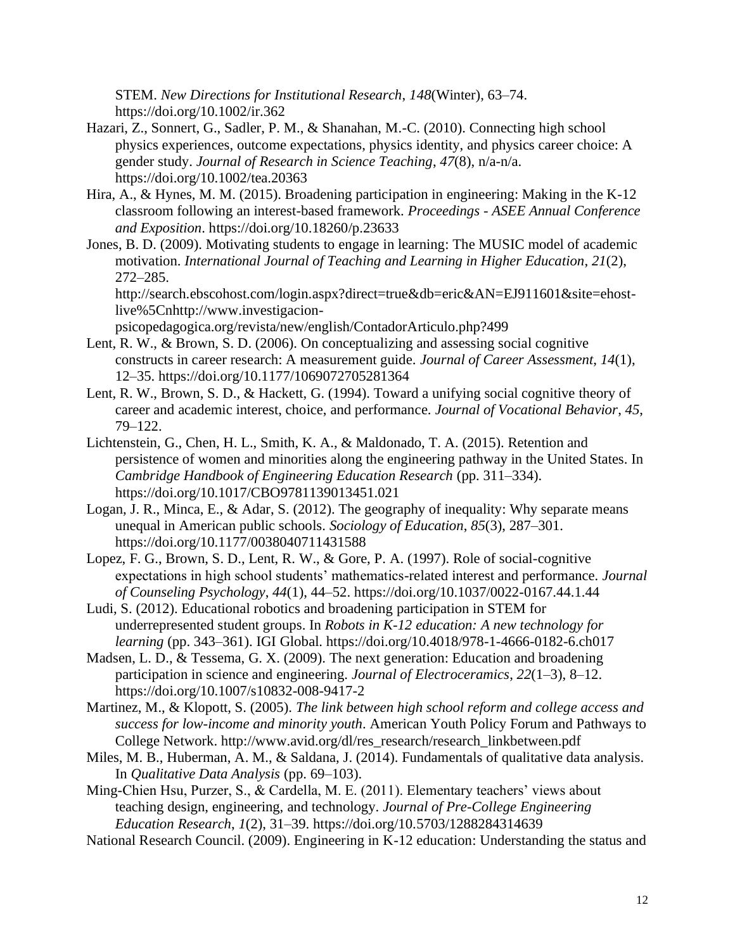STEM. *New Directions for Institutional Research*, *148*(Winter), 63–74. https://doi.org/10.1002/ir.362

- Hazari, Z., Sonnert, G., Sadler, P. M., & Shanahan, M.-C. (2010). Connecting high school physics experiences, outcome expectations, physics identity, and physics career choice: A gender study. *Journal of Research in Science Teaching*, *47*(8), n/a-n/a. https://doi.org/10.1002/tea.20363
- Hira, A., & Hynes, M. M. (2015). Broadening participation in engineering: Making in the K-12 classroom following an interest-based framework. *Proceedings - ASEE Annual Conference and Exposition*. https://doi.org/10.18260/p.23633
- Jones, B. D. (2009). Motivating students to engage in learning: The MUSIC model of academic motivation. *International Journal of Teaching and Learning in Higher Education*, *21*(2), 272–285.

http://search.ebscohost.com/login.aspx?direct=true&db=eric&AN=EJ911601&site=ehostlive%5Cnhttp://www.investigacion-

psicopedagogica.org/revista/new/english/ContadorArticulo.php?499

- Lent, R. W., & Brown, S. D. (2006). On conceptualizing and assessing social cognitive constructs in career research: A measurement guide. *Journal of Career Assessment*, *14*(1), 12–35. https://doi.org/10.1177/1069072705281364
- Lent, R. W., Brown, S. D., & Hackett, G. (1994). Toward a unifying social cognitive theory of career and academic interest, choice, and performance. *Journal of Vocational Behavior*, *45*, 79–122.
- Lichtenstein, G., Chen, H. L., Smith, K. A., & Maldonado, T. A. (2015). Retention and persistence of women and minorities along the engineering pathway in the United States. In *Cambridge Handbook of Engineering Education Research* (pp. 311–334). https://doi.org/10.1017/CBO9781139013451.021
- Logan, J. R., Minca, E., & Adar, S. (2012). The geography of inequality: Why separate means unequal in American public schools. *Sociology of Education*, *85*(3), 287–301. https://doi.org/10.1177/0038040711431588
- Lopez, F. G., Brown, S. D., Lent, R. W., & Gore, P. A. (1997). Role of social-cognitive expectations in high school students' mathematics-related interest and performance. *Journal of Counseling Psychology*, *44*(1), 44–52. https://doi.org/10.1037/0022-0167.44.1.44
- Ludi, S. (2012). Educational robotics and broadening participation in STEM for underrepresented student groups. In *Robots in K-12 education: A new technology for learning* (pp. 343–361). IGI Global. https://doi.org/10.4018/978-1-4666-0182-6.ch017
- Madsen, L. D., & Tessema, G. X. (2009). The next generation: Education and broadening participation in science and engineering. *Journal of Electroceramics*, *22*(1–3), 8–12. https://doi.org/10.1007/s10832-008-9417-2
- Martinez, M., & Klopott, S. (2005). *The link between high school reform and college access and success for low-income and minority youth*. American Youth Policy Forum and Pathways to College Network. http://www.avid.org/dl/res\_research/research\_linkbetween.pdf
- Miles, M. B., Huberman, A. M., & Saldana, J. (2014). Fundamentals of qualitative data analysis. In *Qualitative Data Analysis* (pp. 69–103).

Ming-Chien Hsu, Purzer, S., & Cardella, M. E. (2011). Elementary teachers' views about teaching design, engineering, and technology. *Journal of Pre-College Engineering Education Research*, *1*(2), 31–39. https://doi.org/10.5703/1288284314639

National Research Council. (2009). Engineering in K-12 education: Understanding the status and